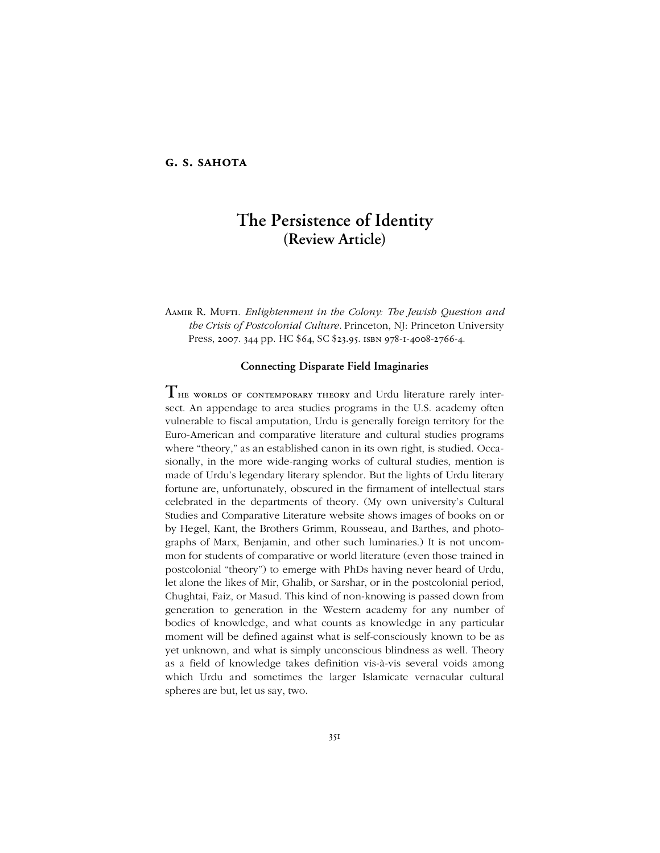# **g. s. sahota**

# **The Persistence of Identity (Review Article)**

Aamir R. Mufti. *Enlightenment in the Colony: The Jewish Question and the Crisis of Postcolonial Culture.* Princeton, NJ: Princeton University Press, 2007. 344 pp. HC \$64, SC \$23.95. ISBN 978-1-4008-2766-4.

## **Connecting Disparate Field Imaginaries**

 $\rm T$ не worlds of contemporary theory and Urdu literature rarely intersect. An appendage to area studies programs in the U.S. academy often vulnerable to fiscal amputation, Urdu is generally foreign territory for the Euro-American and comparative literature and cultural studies programs where "theory," as an established canon in its own right, is studied. Occasionally, in the more wide-ranging works of cultural studies, mention is made of Urduís legendary literary splendor. But the lights of Urdu literary fortune are, unfortunately, obscured in the firmament of intellectual stars celebrated in the departments of theory. (My own university's Cultural Studies and Comparative Literature website shows images of books on or by Hegel, Kant, the Brothers Grimm, Rousseau, and Barthes, and photographs of Marx, Benjamin, and other such luminaries.) It is not uncommon for students of comparative or world literature (even those trained in postcolonial "theory") to emerge with PhDs having never heard of Urdu, let alone the likes of Mir, Ghalib, or Sarshar, or in the postcolonial period, Chughtai, Faiz, or Masud. This kind of non-knowing is passed down from generation to generation in the Western academy for any number of bodies of knowledge, and what counts as knowledge in any particular moment will be defined against what is self-consciously known to be as yet unknown, and what is simply unconscious blindness as well. Theory as a field of knowledge takes definition vis-à-vis several voids among which Urdu and sometimes the larger Islamicate vernacular cultural spheres are but, let us say, two.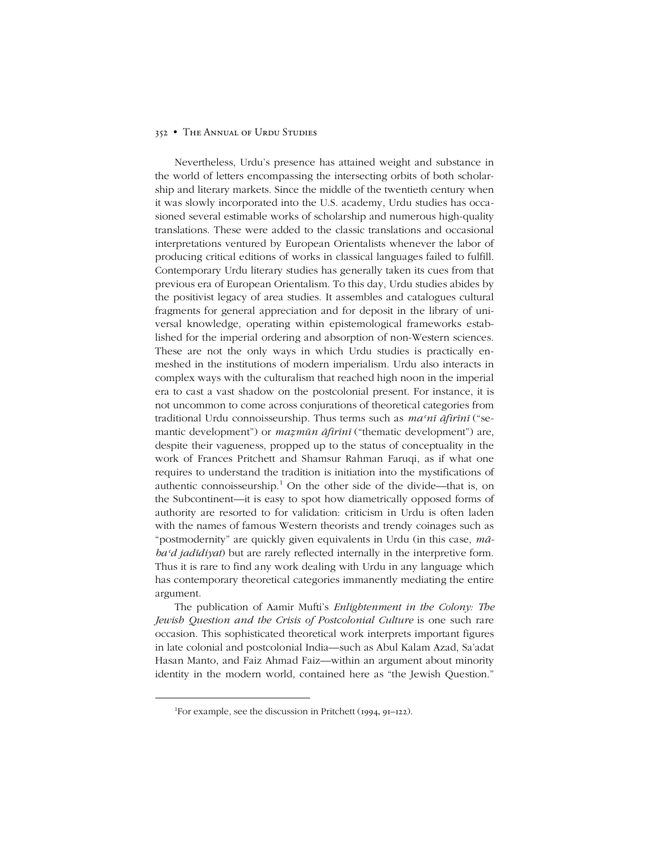Nevertheless, Urduís presence has attained weight and substance in the world of letters encompassing the intersecting orbits of both scholarship and literary markets. Since the middle of the twentieth century when it was slowly incorporated into the U.S. academy, Urdu studies has occasioned several estimable works of scholarship and numerous high-quality translations. These were added to the classic translations and occasional interpretations ventured by European Orientalists whenever the labor of producing critical editions of works in classical languages failed to fulfill. Contemporary Urdu literary studies has generally taken its cues from that previous era of European Orientalism. To this day, Urdu studies abides by the positivist legacy of area studies. It assembles and catalogues cultural fragments for general appreciation and for deposit in the library of universal knowledge, operating within epistemological frameworks established for the imperial ordering and absorption of non-Western sciences. These are not the only ways in which Urdu studies is practically enmeshed in the institutions of modern imperialism. Urdu also interacts in complex ways with the culturalism that reached high noon in the imperial era to cast a vast shadow on the postcolonial present. For instance, it is not uncommon to come across conjurations of theoretical categories from traditional Urdu connoisseurship. Thus terms such as *maʿnī āfirīnī* (ìsemantic development") or *mazmūn āfirīnī* ("thematic development") are, despite their vagueness, propped up to the status of conceptuality in the work of Frances Pritchett and Shamsur Rahman Faruqi, as if what one requires to understand the tradition is initiation into the mystifications of authentic connoisseurship.<sup>1</sup> On the other side of the divide—that is, on the Subcontinent—it is easy to spot how diametrically opposed forms of authority are resorted to for validation: criticism in Urdu is often laden with the names of famous Western theorists and trendy coinages such as "postmodernity" are quickly given equivalents in Urdu (in this case,  $m\bar{a}$ *baʿd jadīdiyat*) but are rarely reflected internally in the interpretive form. Thus it is rare to find any work dealing with Urdu in any language which has contemporary theoretical categories immanently mediating the entire argument.

The publication of Aamir Muftiís *Enlightenment in the Colony: The Jewish Question and the Crisis of Postcolonial Culture* is one such rare occasion. This sophisticated theoretical work interprets important figures in late colonial and postcolonial India—such as Abul Kalam Azad, Sa'adat Hasan Manto, and Faiz Ahmad Faiz-within an argument about minority identity in the modern world, contained here as "the Jewish Question."

 <sup>1</sup>  ${}^{1}$ For example, see the discussion in Pritchett (1994, 91–122).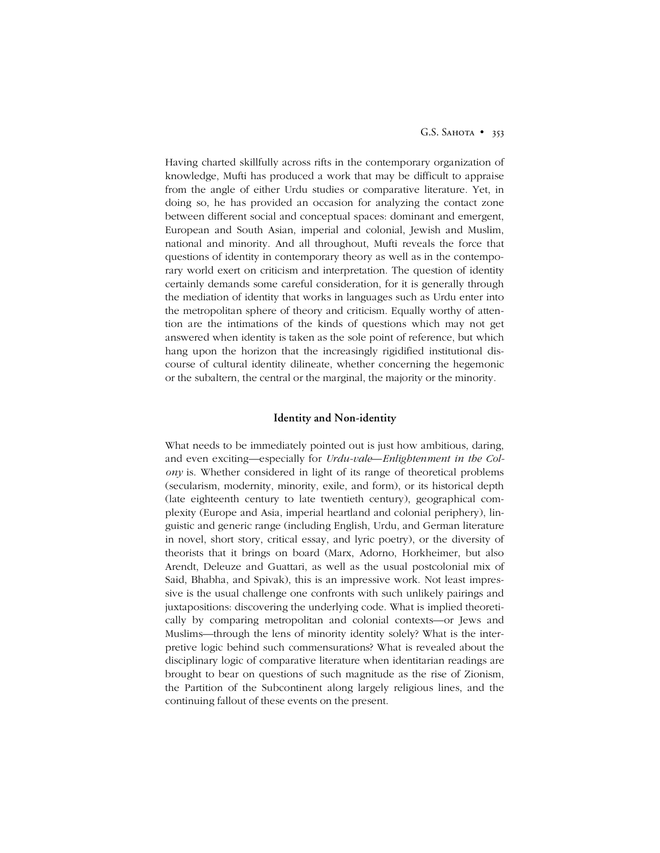Having charted skillfully across rifts in the contemporary organization of knowledge, Mufti has produced a work that may be difficult to appraise from the angle of either Urdu studies or comparative literature. Yet, in doing so, he has provided an occasion for analyzing the contact zone between different social and conceptual spaces: dominant and emergent, European and South Asian, imperial and colonial, Jewish and Muslim, national and minority. And all throughout, Mufti reveals the force that questions of identity in contemporary theory as well as in the contemporary world exert on criticism and interpretation. The question of identity certainly demands some careful consideration, for it is generally through the mediation of identity that works in languages such as Urdu enter into the metropolitan sphere of theory and criticism. Equally worthy of attention are the intimations of the kinds of questions which may not get answered when identity is taken as the sole point of reference, but which hang upon the horizon that the increasingly rigidified institutional discourse of cultural identity dilineate, whether concerning the hegemonic or the subaltern, the central or the marginal, the majority or the minority.

## **Identity and Non-identity**

What needs to be immediately pointed out is just how ambitious, daring, and even exciting—especially for *Urdu-vale—Enlightenment in the Colony* is. Whether considered in light of its range of theoretical problems (secularism, modernity, minority, exile, and form), or its historical depth (late eighteenth century to late twentieth century), geographical complexity (Europe and Asia, imperial heartland and colonial periphery), linguistic and generic range (including English, Urdu, and German literature in novel, short story, critical essay, and lyric poetry), or the diversity of theorists that it brings on board (Marx, Adorno, Horkheimer, but also Arendt, Deleuze and Guattari, as well as the usual postcolonial mix of Said, Bhabha, and Spivak), this is an impressive work. Not least impressive is the usual challenge one confronts with such unlikely pairings and juxtapositions: discovering the underlying code. What is implied theoretically by comparing metropolitan and colonial contexts-or Jews and Muslims—through the lens of minority identity solely? What is the interpretive logic behind such commensurations? What is revealed about the disciplinary logic of comparative literature when identitarian readings are brought to bear on questions of such magnitude as the rise of Zionism, the Partition of the Subcontinent along largely religious lines, and the continuing fallout of these events on the present.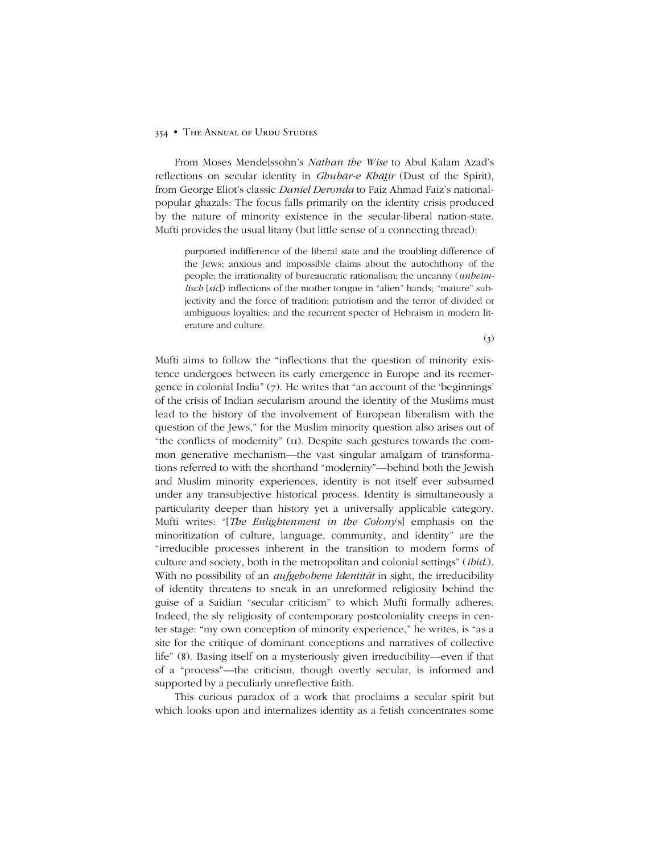From Moses Mendelssohnís *Nathan the Wise* to Abul Kalam Azadís reflections on secular identity in *Ghubār-e Khāir* (Dust of the Spirit), from George Eliot's classic *Daniel Deronda* to Faiz Ahmad Faiz's nationalpopular ghazals: The focus falls primarily on the identity crisis produced by the nature of minority existence in the secular-liberal nation-state. Mufti provides the usual litany (but little sense of a connecting thread):

purported indifference of the liberal state and the troubling difference of the Jews; anxious and impossible claims about the autochthony of the people; the irrationality of bureaucratic rationalism; the uncanny (*unheimlisch* [sic]) inflections of the mother tongue in "alien" hands; "mature" subjectivity and the force of tradition; patriotism and the terror of divided or ambiguous loyalties; and the recurrent specter of Hebraism in modern literature and culture.

 $(3)$ 

Mufti aims to follow the "inflections that the question of minority existence undergoes between its early emergence in Europe and its reemergence in colonial India"  $(7)$ . He writes that "an account of the 'beginnings' of the crisis of Indian secularism around the identity of the Muslims must lead to the history of the involvement of European liberalism with the question of the Jews," for the Muslim minority question also arises out of "the conflicts of modernity" (II). Despite such gestures towards the common generative mechanism—the vast singular amalgam of transformations referred to with the shorthand "modernity"—behind both the Jewish and Muslim minority experiences, identity is not itself ever subsumed under any transubjective historical process. Identity is simultaneously a particularity deeper than history yet a universally applicable category. Mufti writes: "[*The Enlightenment in the Colony*'s] emphasis on the minoritization of culture, language, community, and identity" are the ìirreducible processes inherent in the transition to modern forms of culture and society, both in the metropolitan and colonial settings" (*ibid*.). With no possibility of an *aufgehobene Identität* in sight, the irreducibility of identity threatens to sneak in an unreformed religiosity behind the guise of a Saidian "secular criticism" to which Mufti formally adheres. Indeed, the sly religiosity of contemporary postcoloniality creeps in center stage: "my own conception of minority experience," he writes, is "as a site for the critique of dominant conceptions and narratives of collective life" (8). Basing itself on a mysteriously given irreducibility—even if that of a "process"—the criticism, though overtly secular, is informed and supported by a peculiarly unreflective faith.

This curious paradox of a work that proclaims a secular spirit but which looks upon and internalizes identity as a fetish concentrates some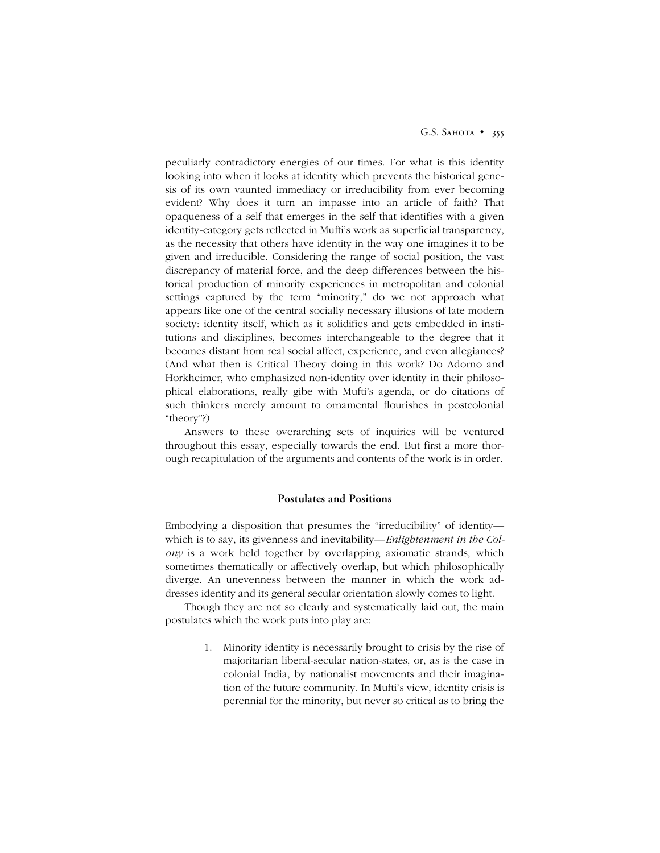peculiarly contradictory energies of our times. For what is this identity looking into when it looks at identity which prevents the historical genesis of its own vaunted immediacy or irreducibility from ever becoming evident? Why does it turn an impasse into an article of faith? That opaqueness of a self that emerges in the self that identifies with a given identity-category gets reflected in Mufti's work as superficial transparency, as the necessity that others have identity in the way one imagines it to be given and irreducible. Considering the range of social position, the vast discrepancy of material force, and the deep differences between the historical production of minority experiences in metropolitan and colonial settings captured by the term "minority," do we not approach what appears like one of the central socially necessary illusions of late modern society: identity itself, which as it solidifies and gets embedded in institutions and disciplines, becomes interchangeable to the degree that it becomes distant from real social affect, experience, and even allegiances? (And what then is Critical Theory doing in this work? Do Adorno and Horkheimer, who emphasized non-identity over identity in their philosophical elaborations, really gibe with Mufti's agenda, or do citations of such thinkers merely amount to ornamental flourishes in postcolonial "theory"?)

Answers to these overarching sets of inquiries will be ventured throughout this essay, especially towards the end. But first a more thorough recapitulation of the arguments and contents of the work is in order.

# **Postulates and Positions**

Embodying a disposition that presumes the "irreducibility" of identity which is to say, its givenness and inevitability—*Enlightenment in the Colony* is a work held together by overlapping axiomatic strands, which sometimes thematically or affectively overlap, but which philosophically diverge. An unevenness between the manner in which the work addresses identity and its general secular orientation slowly comes to light.

Though they are not so clearly and systematically laid out, the main postulates which the work puts into play are:

> 1. Minority identity is necessarily brought to crisis by the rise of majoritarian liberal-secular nation-states, or, as is the case in colonial India, by nationalist movements and their imagination of the future community. In Mufti's view, identity crisis is perennial for the minority, but never so critical as to bring the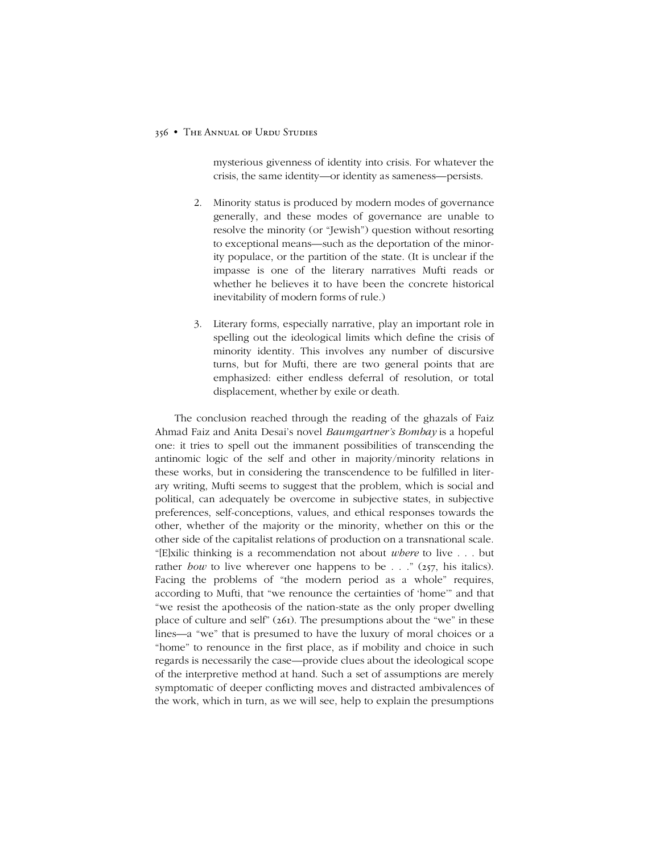mysterious givenness of identity into crisis. For whatever the crisis, the same identity—or identity as sameness—persists.

- 2. Minority status is produced by modern modes of governance generally, and these modes of governance are unable to resolve the minority (or "Jewish") question without resorting to exceptional means—such as the deportation of the minority populace, or the partition of the state. (It is unclear if the impasse is one of the literary narratives Mufti reads or whether he believes it to have been the concrete historical inevitability of modern forms of rule.)
- 3. Literary forms, especially narrative, play an important role in spelling out the ideological limits which define the crisis of minority identity. This involves any number of discursive turns, but for Mufti, there are two general points that are emphasized: either endless deferral of resolution, or total displacement, whether by exile or death.

The conclusion reached through the reading of the ghazals of Faiz Ahmad Faiz and Anita Desaiís novel *Baumgartnerís Bombay* is a hopeful one: it tries to spell out the immanent possibilities of transcending the antinomic logic of the self and other in majority/minority relations in these works, but in considering the transcendence to be fulfilled in literary writing, Mufti seems to suggest that the problem, which is social and political, can adequately be overcome in subjective states, in subjective preferences, self-conceptions, values, and ethical responses towards the other, whether of the majority or the minority, whether on this or the other side of the capitalist relations of production on a transnational scale. ì[E]xilic thinking is a recommendation not about *where* to live . . . but rather *how* to live wherever one happens to be  $\ldots$  " (257, his italics). Facing the problems of "the modern period as a whole" requires, according to Mufti, that "we renounce the certainties of 'home'" and that ìwe resist the apotheosis of the nation-state as the only proper dwelling place of culture and self<sup>"</sup> ( $26I$ ). The presumptions about the "we" in these lines—a "we" that is presumed to have the luxury of moral choices or a "home" to renounce in the first place, as if mobility and choice in such regards is necessarily the case—provide clues about the ideological scope of the interpretive method at hand. Such a set of assumptions are merely symptomatic of deeper conflicting moves and distracted ambivalences of the work, which in turn, as we will see, help to explain the presumptions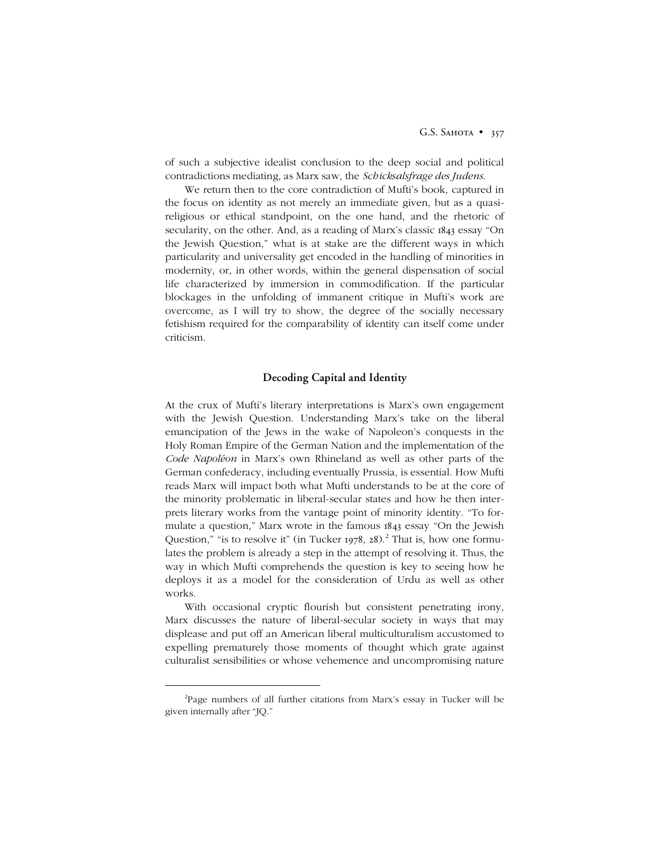G.S. SAHOTA • 357

of such a subjective idealist conclusion to the deep social and political contradictions mediating, as Marx saw, the *Schicksalsfrage des Judens*.

We return then to the core contradiction of Mufti's book, captured in the focus on identity as not merely an immediate given, but as a quasireligious or ethical standpoint, on the one hand, and the rhetoric of secularity, on the other. And, as a reading of Marx's classic 1843 essay "On the Jewish Question," what is at stake are the different ways in which particularity and universality get encoded in the handling of minorities in modernity, or, in other words, within the general dispensation of social life characterized by immersion in commodification. If the particular blockages in the unfolding of immanent critique in Mufti's work are overcome, as I will try to show, the degree of the socially necessary fetishism required for the comparability of identity can itself come under criticism.

# **Decoding Capital and Identity**

At the crux of Mufti's literary interpretations is Marx's own engagement with the Jewish Question. Understanding Marx's take on the liberal emancipation of the Jews in the wake of Napoleon's conquests in the Holy Roman Empire of the German Nation and the implementation of the *Code Napoléon* in Marxís own Rhineland as well as other parts of the German confederacy, including eventually Prussia, is essential. How Mufti reads Marx will impact both what Mufti understands to be at the core of the minority problematic in liberal-secular states and how he then interprets literary works from the vantage point of minority identity. "To formulate a question," Marx wrote in the famous 1843 essay "On the Jewish Question," "is to resolve it" (in Tucker 1978, 28).<sup>2</sup> That is, how one formulates the problem is already a step in the attempt of resolving it. Thus, the way in which Mufti comprehends the question is key to seeing how he deploys it as a model for the consideration of Urdu as well as other works.

With occasional cryptic flourish but consistent penetrating irony, Marx discusses the nature of liberal-secular society in ways that may displease and put off an American liberal multiculturalism accustomed to expelling prematurely those moments of thought which grate against culturalist sensibilities or whose vehemence and uncompromising nature

 $\overline{\phantom{a}}$ <sup>2</sup>Page numbers of all further citations from Marx's essay in Tucker will be given internally after "JQ."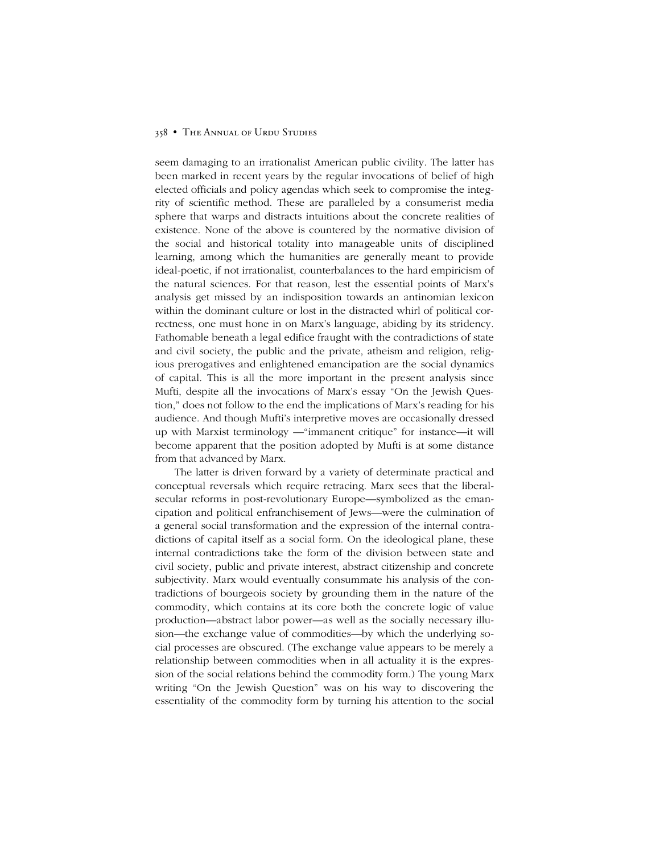seem damaging to an irrationalist American public civility. The latter has been marked in recent years by the regular invocations of belief of high elected officials and policy agendas which seek to compromise the integrity of scientific method. These are paralleled by a consumerist media sphere that warps and distracts intuitions about the concrete realities of existence. None of the above is countered by the normative division of the social and historical totality into manageable units of disciplined learning, among which the humanities are generally meant to provide ideal-poetic, if not irrationalist, counterbalances to the hard empiricism of the natural sciences. For that reason, lest the essential points of Marxís analysis get missed by an indisposition towards an antinomian lexicon within the dominant culture or lost in the distracted whirl of political correctness, one must hone in on Marx's language, abiding by its stridency. Fathomable beneath a legal edifice fraught with the contradictions of state and civil society, the public and the private, atheism and religion, religious prerogatives and enlightened emancipation are the social dynamics of capital. This is all the more important in the present analysis since Mufti, despite all the invocations of Marx's essay "On the Jewish Question," does not follow to the end the implications of Marx's reading for his audience. And though Muftiís interpretive moves are occasionally dressed up with Marxist terminology — "immanent critique" for instance—it will become apparent that the position adopted by Mufti is at some distance from that advanced by Marx.

The latter is driven forward by a variety of determinate practical and conceptual reversals which require retracing. Marx sees that the liberalsecular reforms in post-revolutionary Europe—symbolized as the emancipation and political enfranchisement of Jews—were the culmination of a general social transformation and the expression of the internal contradictions of capital itself as a social form. On the ideological plane, these internal contradictions take the form of the division between state and civil society, public and private interest, abstract citizenship and concrete subjectivity. Marx would eventually consummate his analysis of the contradictions of bourgeois society by grounding them in the nature of the commodity, which contains at its core both the concrete logic of value production—abstract labor power—as well as the socially necessary illusion—the exchange value of commodities—by which the underlying social processes are obscured. (The exchange value appears to be merely a relationship between commodities when in all actuality it is the expression of the social relations behind the commodity form.) The young Marx writing "On the Jewish Question" was on his way to discovering the essentiality of the commodity form by turning his attention to the social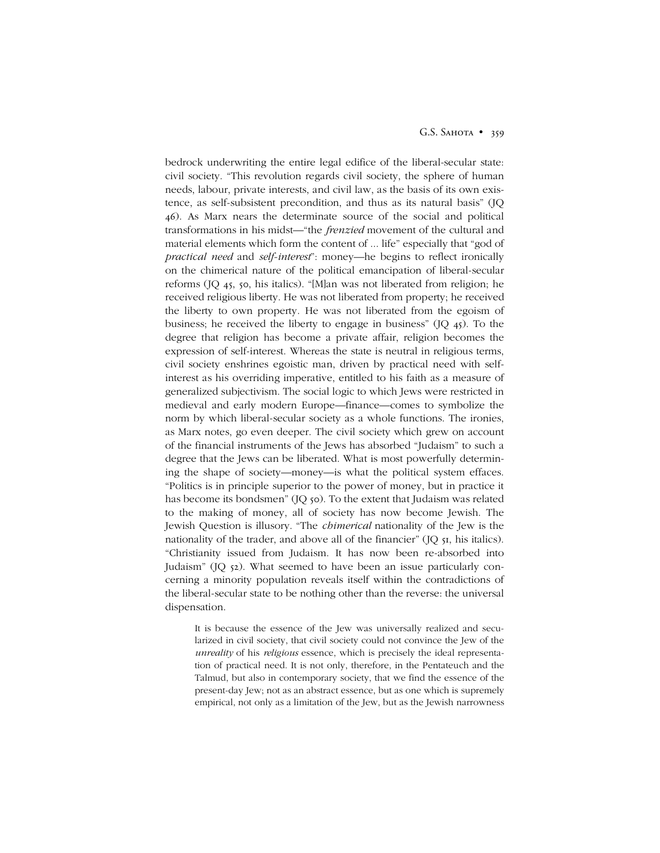#### G.S. SAHOTA • 359

bedrock underwriting the entire legal edifice of the liberal-secular state: civil society. "This revolution regards civil society, the sphere of human needs, labour, private interests, and civil law, as the basis of its own existence, as self-subsistent precondition, and thus as its natural basis" (JQ 46). As Marx nears the determinate source of the social and political transformations in his midst—"the *frenzied* movement of the cultural and material elements which form the content of ... life" especially that "god of *practical need* and *self-interest*<sup>"</sup>: money—he begins to reflect ironically on the chimerical nature of the political emancipation of liberal-secular reforms  $(IQ\ 45, 50, his italics).$  "[M]an was not liberated from religion; he received religious liberty. He was not liberated from property; he received the liberty to own property. He was not liberated from the egoism of business; he received the liberty to engage in business"  $($ IQ  $45)$ . To the degree that religion has become a private affair, religion becomes the expression of self-interest. Whereas the state is neutral in religious terms, civil society enshrines egoistic man, driven by practical need with selfinterest as his overriding imperative, entitled to his faith as a measure of generalized subjectivism. The social logic to which Jews were restricted in medieval and early modern Europe—finance—comes to symbolize the norm by which liberal-secular society as a whole functions. The ironies, as Marx notes, go even deeper. The civil society which grew on account of the financial instruments of the Jews has absorbed "Judaism" to such a degree that the Jews can be liberated. What is most powerfully determining the shape of society—money—is what the political system effaces. ìPolitics is in principle superior to the power of money, but in practice it has become its bondsmen" (JQ 50). To the extent that Judaism was related to the making of money, all of society has now become Jewish. The Jewish Question is illusory. "The *chimerical* nationality of the Jew is the nationality of the trader, and above all of the financier"  $(JQ_5I, his)$  italics). ìChristianity issued from Judaism. It has now been re-absorbed into Judaismî (JQ 52). What seemed to have been an issue particularly concerning a minority population reveals itself within the contradictions of the liberal-secular state to be nothing other than the reverse: the universal dispensation.

It is because the essence of the Jew was universally realized and secularized in civil society, that civil society could not convince the Jew of the *unreality* of his *religious* essence, which is precisely the ideal representation of practical need. It is not only, therefore, in the Pentateuch and the Talmud, but also in contemporary society, that we find the essence of the present-day Jew; not as an abstract essence, but as one which is supremely empirical, not only as a limitation of the Jew, but as the Jewish narrowness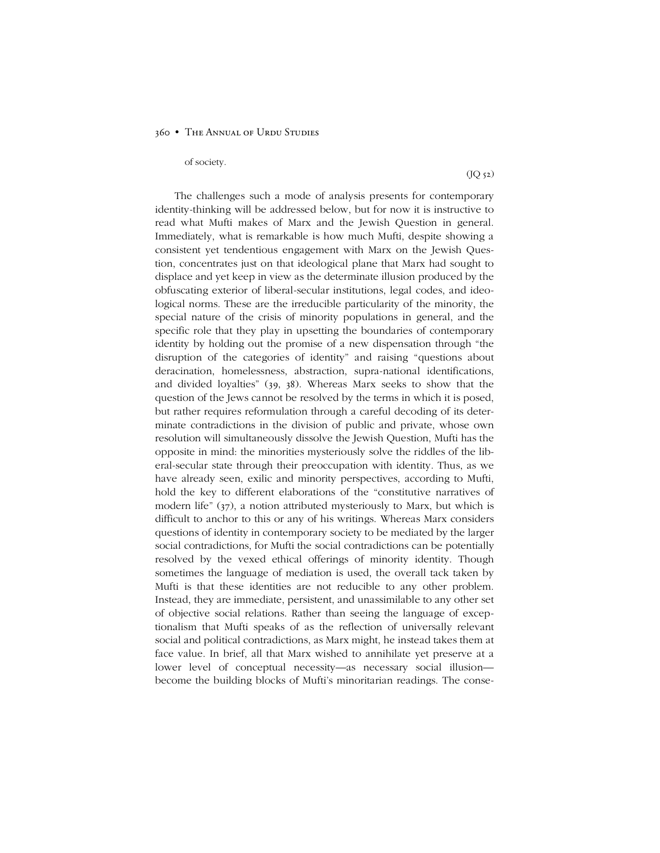#### of society.

 $($ J $Q$  52 $)$ 

The challenges such a mode of analysis presents for contemporary identity-thinking will be addressed below, but for now it is instructive to read what Mufti makes of Marx and the Jewish Question in general. Immediately, what is remarkable is how much Mufti, despite showing a consistent yet tendentious engagement with Marx on the Jewish Question, concentrates just on that ideological plane that Marx had sought to displace and yet keep in view as the determinate illusion produced by the obfuscating exterior of liberal-secular institutions, legal codes, and ideological norms. These are the irreducible particularity of the minority, the special nature of the crisis of minority populations in general, and the specific role that they play in upsetting the boundaries of contemporary identity by holding out the promise of a new dispensation through "the disruption of the categories of identity" and raising "questions about deracination, homelessness, abstraction, supra-national identifications, and divided loyaltiesî (39, 38). Whereas Marx seeks to show that the question of the Jews cannot be resolved by the terms in which it is posed, but rather requires reformulation through a careful decoding of its determinate contradictions in the division of public and private, whose own resolution will simultaneously dissolve the Jewish Question, Mufti has the opposite in mind: the minorities mysteriously solve the riddles of the liberal-secular state through their preoccupation with identity. Thus, as we have already seen, exilic and minority perspectives, according to Mufti, hold the key to different elaborations of the "constitutive narratives of modern life"  $(37)$ , a notion attributed mysteriously to Marx, but which is difficult to anchor to this or any of his writings. Whereas Marx considers questions of identity in contemporary society to be mediated by the larger social contradictions, for Mufti the social contradictions can be potentially resolved by the vexed ethical offerings of minority identity. Though sometimes the language of mediation is used, the overall tack taken by Mufti is that these identities are not reducible to any other problem. Instead, they are immediate, persistent, and unassimilable to any other set of objective social relations. Rather than seeing the language of exceptionalism that Mufti speaks of as the reflection of universally relevant social and political contradictions, as Marx might, he instead takes them at face value. In brief, all that Marx wished to annihilate yet preserve at a lower level of conceptual necessity—as necessary social illusion become the building blocks of Mufti's minoritarian readings. The conse-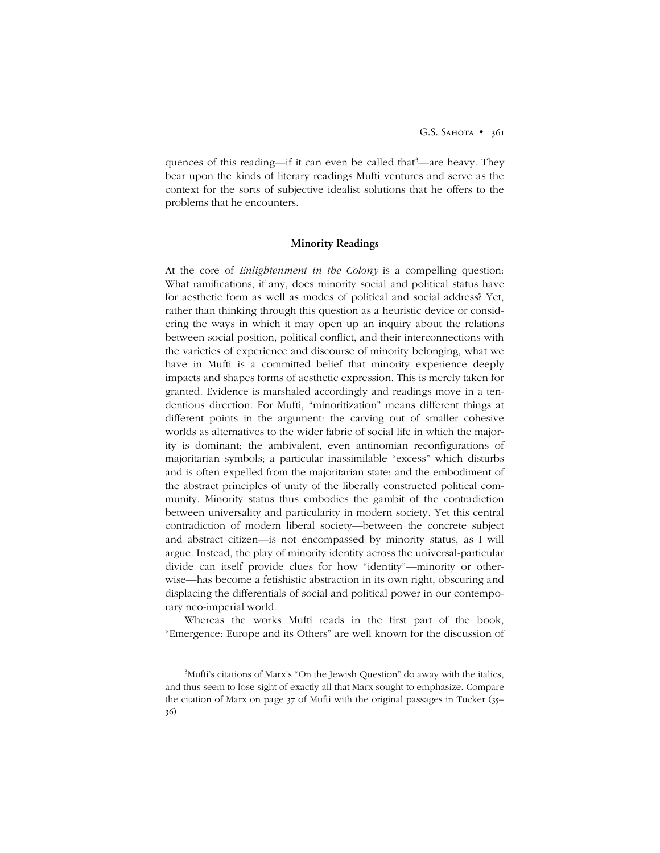quences of this reading—if it can even be called that<sup>3</sup>—are heavy. They bear upon the kinds of literary readings Mufti ventures and serve as the context for the sorts of subjective idealist solutions that he offers to the problems that he encounters.

## **Minority Readings**

At the core of *Enlightenment in the Colony* is a compelling question: What ramifications, if any, does minority social and political status have for aesthetic form as well as modes of political and social address? Yet, rather than thinking through this question as a heuristic device or considering the ways in which it may open up an inquiry about the relations between social position, political conflict, and their interconnections with the varieties of experience and discourse of minority belonging, what we have in Mufti is a committed belief that minority experience deeply impacts and shapes forms of aesthetic expression. This is merely taken for granted. Evidence is marshaled accordingly and readings move in a tendentious direction. For Mufti, "minoritization" means different things at different points in the argument: the carving out of smaller cohesive worlds as alternatives to the wider fabric of social life in which the majority is dominant; the ambivalent, even antinomian reconfigurations of majoritarian symbols; a particular inassimilable "excess" which disturbs and is often expelled from the majoritarian state; and the embodiment of the abstract principles of unity of the liberally constructed political community. Minority status thus embodies the gambit of the contradiction between universality and particularity in modern society. Yet this central contradiction of modern liberal society-between the concrete subject and abstract citizen-is not encompassed by minority status, as I will argue. Instead, the play of minority identity across the universal-particular divide can itself provide clues for how "identity"—minority or otherwise—has become a fetishistic abstraction in its own right, obscuring and displacing the differentials of social and political power in our contemporary neo-imperial world.

Whereas the works Mufti reads in the first part of the book, ìEmergence: Europe and its Othersî are well known for the discussion of

 $\frac{1}{3}$ <sup>3</sup>Mufti's citations of Marx's "On the Jewish Question" do away with the italics, and thus seem to lose sight of exactly all that Marx sought to emphasize. Compare the citation of Marx on page  $37$  of Mufti with the original passages in Tucker  $(35)$ 36).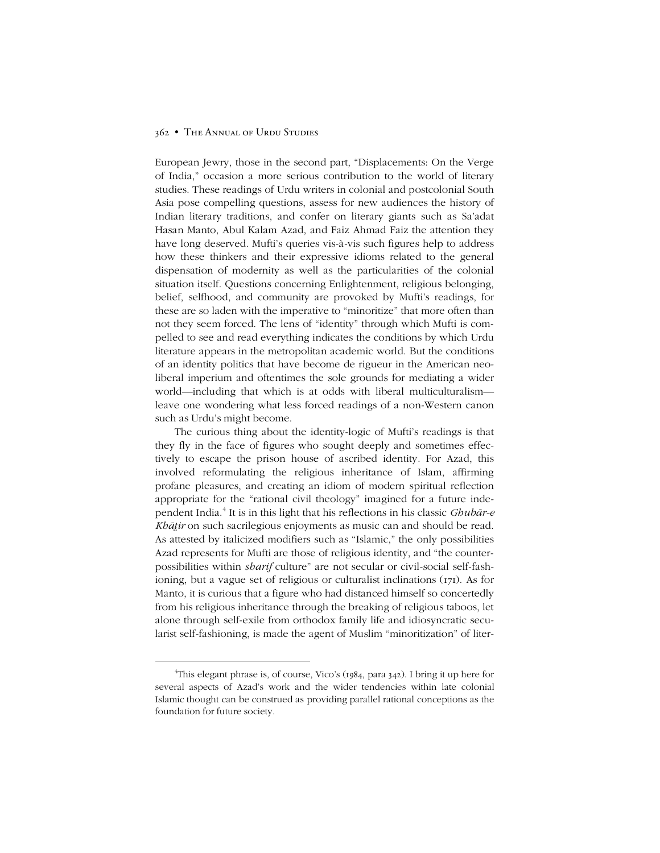European Jewry, those in the second part, "Displacements: On the Verge of India,î occasion a more serious contribution to the world of literary studies. These readings of Urdu writers in colonial and postcolonial South Asia pose compelling questions, assess for new audiences the history of Indian literary traditions, and confer on literary giants such as Saíadat Hasan Manto, Abul Kalam Azad, and Faiz Ahmad Faiz the attention they have long deserved. Mufti's queries vis-à-vis such figures help to address how these thinkers and their expressive idioms related to the general dispensation of modernity as well as the particularities of the colonial situation itself. Questions concerning Enlightenment, religious belonging, belief, selfhood, and community are provoked by Mufti's readings, for these are so laden with the imperative to "minoritize" that more often than not they seem forced. The lens of "identity" through which Mufti is compelled to see and read everything indicates the conditions by which Urdu literature appears in the metropolitan academic world. But the conditions of an identity politics that have become de rigueur in the American neoliberal imperium and oftentimes the sole grounds for mediating a wider world—including that which is at odds with liberal multiculturalism leave one wondering what less forced readings of a non-Western canon such as Urdu's might become.

The curious thing about the identity-logic of Mufti's readings is that they fly in the face of figures who sought deeply and sometimes effectively to escape the prison house of ascribed identity. For Azad, this involved reformulating the religious inheritance of Islam, affirming profane pleasures, and creating an idiom of modern spiritual reflection appropriate for the "rational civil theology" imagined for a future independent India. <sup>4</sup> It is in this light that his reflections in his classic *Ghubār-e Khāir* on such sacrilegious enjoyments as music can and should be read. As attested by italicized modifiers such as "Islamic," the only possibilities Azad represents for Mufti are those of religious identity, and "the counterpossibilities within *sharif* culture" are not secular or civil-social self-fashioning, but a vague set of religious or culturalist inclinations (171). As for Manto, it is curious that a figure who had distanced himself so concertedly from his religious inheritance through the breaking of religious taboos, let alone through self-exile from orthodox family life and idiosyncratic secularist self-fashioning, is made the agent of Muslim "minoritization" of liter-

 $\frac{4}{4}$ <sup>4</sup>This elegant phrase is, of course, Vico's (1984, para 342). I bring it up here for several aspects of Azad's work and the wider tendencies within late colonial Islamic thought can be construed as providing parallel rational conceptions as the foundation for future society.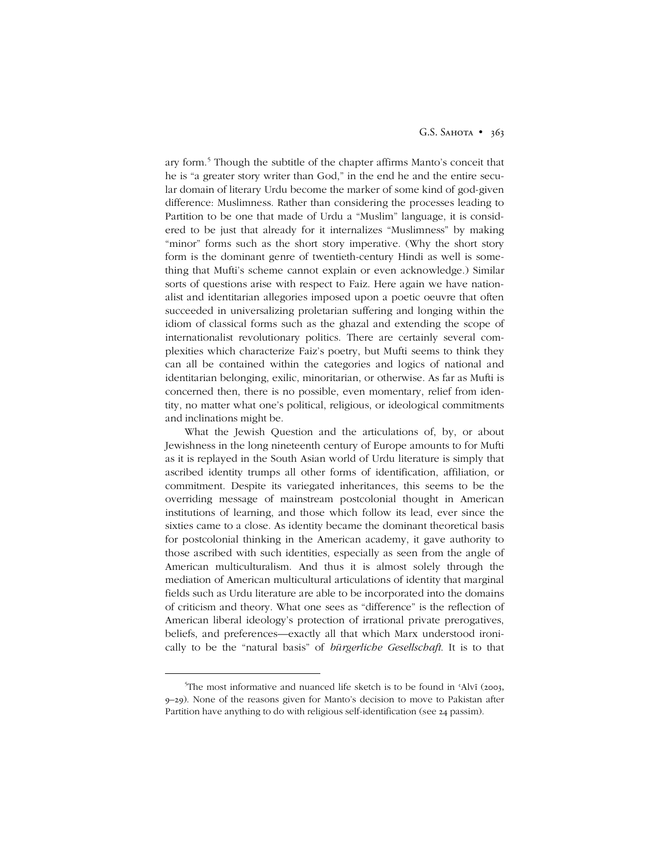ary form.<sup>5</sup> Though the subtitle of the chapter affirms Manto's conceit that he is "a greater story writer than God," in the end he and the entire secular domain of literary Urdu become the marker of some kind of god-given difference: Muslimness. Rather than considering the processes leading to Partition to be one that made of Urdu a "Muslim" language, it is considered to be just that already for it internalizes "Muslimness" by making "minor" forms such as the short story imperative. (Why the short story form is the dominant genre of twentieth-century Hindi as well is something that Muftiís scheme cannot explain or even acknowledge.) Similar sorts of questions arise with respect to Faiz. Here again we have nationalist and identitarian allegories imposed upon a poetic oeuvre that often succeeded in universalizing proletarian suffering and longing within the idiom of classical forms such as the ghazal and extending the scope of internationalist revolutionary politics. There are certainly several complexities which characterize Faizís poetry, but Mufti seems to think they can all be contained within the categories and logics of national and identitarian belonging, exilic, minoritarian, or otherwise. As far as Mufti is concerned then, there is no possible, even momentary, relief from identity, no matter what one's political, religious, or ideological commitments and inclinations might be.

What the Jewish Question and the articulations of, by, or about Jewishness in the long nineteenth century of Europe amounts to for Mufti as it is replayed in the South Asian world of Urdu literature is simply that ascribed identity trumps all other forms of identification, affiliation, or commitment. Despite its variegated inheritances, this seems to be the overriding message of mainstream postcolonial thought in American institutions of learning, and those which follow its lead, ever since the sixties came to a close. As identity became the dominant theoretical basis for postcolonial thinking in the American academy, it gave authority to those ascribed with such identities, especially as seen from the angle of American multiculturalism. And thus it is almost solely through the mediation of American multicultural articulations of identity that marginal fields such as Urdu literature are able to be incorporated into the domains of criticism and theory. What one sees as "difference" is the reflection of American liberal ideology's protection of irrational private prerogatives, beliefs, and preferences—exactly all that which Marx understood ironically to be the "natural basis" of *bürgerliche Gesellschaft*. It is to that

 $rac{1}{5}$ <sup>5</sup>The most informative and nuanced life sketch is to be found in 'Alvī (2003, 9–29). None of the reasons given for Manto's decision to move to Pakistan after Partition have anything to do with religious self-identification (see 24 passim).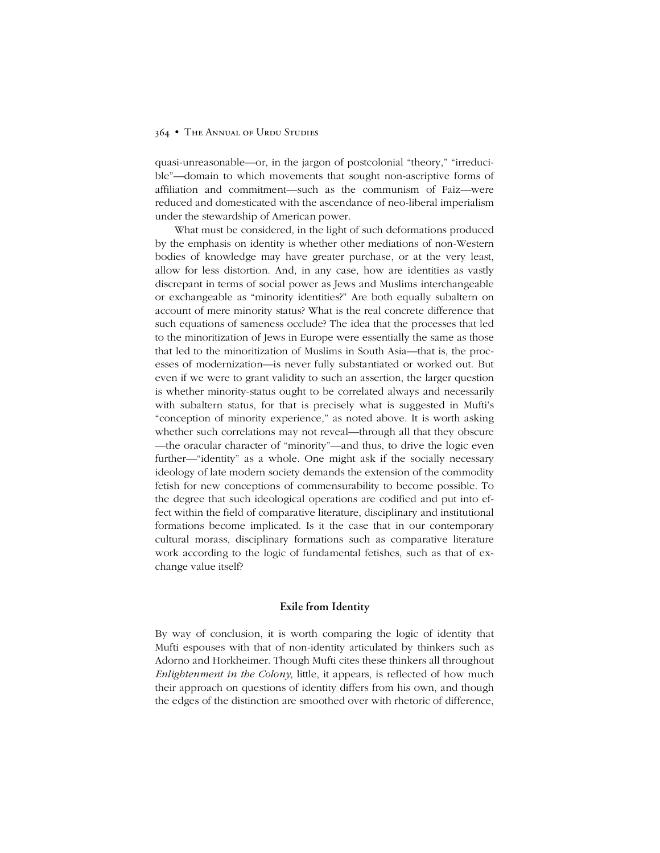quasi-unreasonable—or, in the jargon of postcolonial "theory," "irreducible"—domain to which movements that sought non-ascriptive forms of affiliation and commitment—such as the communism of Faiz—were reduced and domesticated with the ascendance of neo-liberal imperialism under the stewardship of American power.

What must be considered, in the light of such deformations produced by the emphasis on identity is whether other mediations of non-Western bodies of knowledge may have greater purchase, or at the very least, allow for less distortion. And, in any case, how are identities as vastly discrepant in terms of social power as Jews and Muslims interchangeable or exchangeable as "minority identities?" Are both equally subaltern on account of mere minority status? What is the real concrete difference that such equations of sameness occlude? The idea that the processes that led to the minoritization of Jews in Europe were essentially the same as those that led to the minoritization of Muslims in South Asia—that is, the processes of modernization- is never fully substantiated or worked out. But even if we were to grant validity to such an assertion, the larger question is whether minority-status ought to be correlated always and necessarily with subaltern status, for that is precisely what is suggested in Mufti's "conception of minority experience," as noted above. It is worth asking whether such correlations may not reveal—through all that they obscure the oracular character of "minority"—and thus, to drive the logic even further—"identity" as a whole. One might ask if the socially necessary ideology of late modern society demands the extension of the commodity fetish for new conceptions of commensurability to become possible. To the degree that such ideological operations are codified and put into effect within the field of comparative literature, disciplinary and institutional formations become implicated. Is it the case that in our contemporary cultural morass, disciplinary formations such as comparative literature work according to the logic of fundamental fetishes, such as that of exchange value itself?

## **Exile from Identity**

By way of conclusion, it is worth comparing the logic of identity that Mufti espouses with that of non-identity articulated by thinkers such as Adorno and Horkheimer. Though Mufti cites these thinkers all throughout *Enlightenment in the Colony*, little, it appears, is reflected of how much their approach on questions of identity differs from his own, and though the edges of the distinction are smoothed over with rhetoric of difference,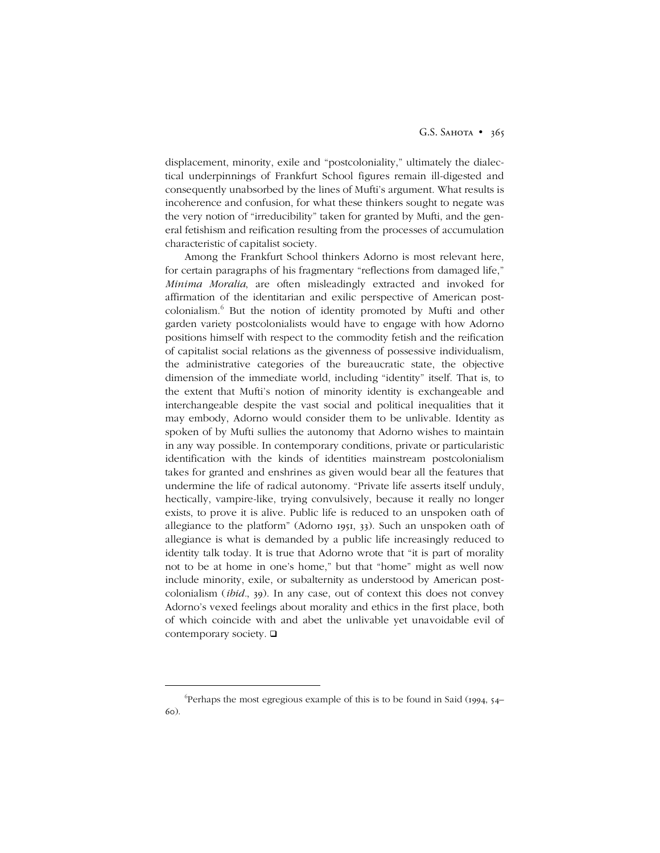displacement, minority, exile and "postcoloniality," ultimately the dialectical underpinnings of Frankfurt School figures remain ill-digested and consequently unabsorbed by the lines of Mufti's argument. What results is incoherence and confusion, for what these thinkers sought to negate was the very notion of "irreducibility" taken for granted by Mufti, and the general fetishism and reification resulting from the processes of accumulation characteristic of capitalist society.

Among the Frankfurt School thinkers Adorno is most relevant here, for certain paragraphs of his fragmentary "reflections from damaged life," *Minima Moralia*, are often misleadingly extracted and invoked for affirmation of the identitarian and exilic perspective of American postcolonialism. <sup>6</sup> But the notion of identity promoted by Mufti and other garden variety postcolonialists would have to engage with how Adorno positions himself with respect to the commodity fetish and the reification of capitalist social relations as the givenness of possessive individualism, the administrative categories of the bureaucratic state, the objective dimension of the immediate world, including "identity" itself. That is, to the extent that Mufti's notion of minority identity is exchangeable and interchangeable despite the vast social and political inequalities that it may embody, Adorno would consider them to be unlivable. Identity as spoken of by Mufti sullies the autonomy that Adorno wishes to maintain in any way possible. In contemporary conditions, private or particularistic identification with the kinds of identities mainstream postcolonialism takes for granted and enshrines as given would bear all the features that undermine the life of radical autonomy. "Private life asserts itself unduly, hectically, vampire-like, trying convulsively, because it really no longer exists, to prove it is alive. Public life is reduced to an unspoken oath of allegiance to the platformî (Adorno 1951, 33). Such an unspoken oath of allegiance is what is demanded by a public life increasingly reduced to identity talk today. It is true that Adorno wrote that "it is part of morality not to be at home in one's home," but that "home" might as well now include minority, exile, or subalternity as understood by American postcolonialism (*ibid.*, 39). In any case, out of context this does not convey Adorno's vexed feelings about morality and ethics in the first place, both of which coincide with and abet the unlivable yet unavoidable evil of contemporary society.

 <sup>6</sup> <sup>6</sup>Perhaps the most egregious example of this is to be found in Said (1994, 54– 60).